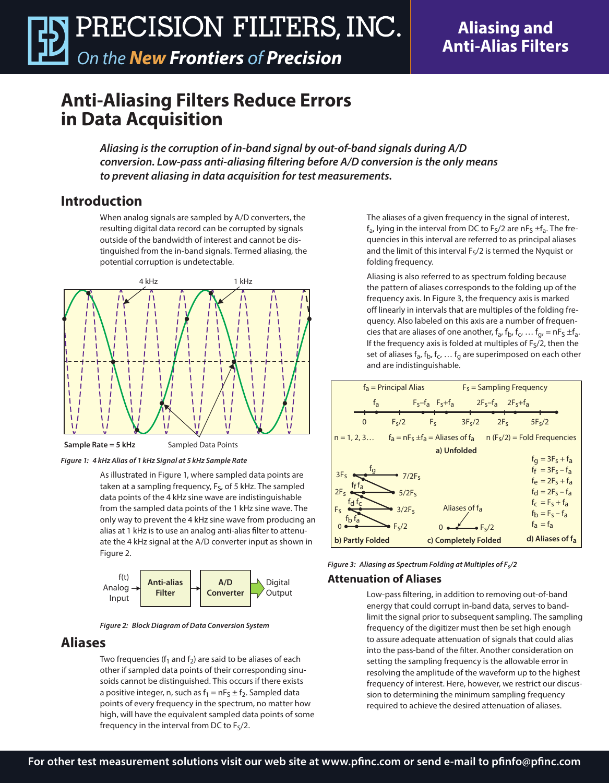# **Aliasing and Anti-Alias Filters**

# **Anti-Aliasing Filters Reduce Errors in Data Acquisition**

*Aliasing is the corruption of in-band signal by out-of-band signals during A/D conversion. Low-pass anti-aliasing filtering before A/D conversion is the only means to prevent aliasing in data acquisition for test measurements.*

## **Introduction**

When analog signals are sampled by A/D converters, the resulting digital data record can be corrupted by signals outside of the bandwidth of interest and cannot be distinguished from the in-band signals. Termed aliasing, the potential corruption is undetectable.





Sampled Data Points



As illustrated in Figure 1, where sampled data points are taken at a sampling frequency, F<sub>S</sub>, of 5 kHz. The sampled data points of the 4 kHz sine wave are indistinguishable from the sampled data points of the 1 kHz sine wave. The only way to prevent the 4 kHz sine wave from producing an alias at 1 kHz is to use an analog anti-alias filter to attenuate the 4 kHz signal at the A/D converter input as shown in Figure 2.



*Figure 2: Block Diagram of Data Conversion System*

### **Aliases**

Two frequencies ( $f_1$  and  $f_2$ ) are said to be aliases of each other if sampled data points of their corresponding sinusoids cannot be distinguished. This occurs if there exists a positive integer, n, such as  $f_1 = nF_S \pm f_2$ . Sampled data points of every frequency in the spectrum, no matter how high, will have the equivalent sampled data points of some frequency in the interval from DC to  $F_S/2$ .

The aliases of a given frequency in the signal of interest,  $f_a$ , lying in the interval from DC to  $F_S/2$  are n $F_S \pm f_a$ . The frequencies in this interval are referred to as principal aliases and the limit of this interval  $F<sub>5</sub>/2$  is termed the Nyquist or folding frequency.

Aliasing is also referred to as spectrum folding because the pattern of aliases corresponds to the folding up of the frequency axis. In Figure 3, the frequency axis is marked off linearly in intervals that are multiples of the folding frequency. Also labeled on this axis are a number of frequencies that are aliases of one another,  $f_a$ ,  $f_b$ ,  $f_c$ , ...  $f_q$ , = nF<sub>S</sub>  $\pm f_a$ . If the frequency axis is folded at multiples of  $F<sub>5</sub>/2$ , then the set of aliases  $f_a$ ,  $f_b$ ,  $f_c$ , ...  $f_a$  are superimposed on each other and are indistinguishable.



*Figure 3: Aliasing as Spectrum Folding at Multiples of Fs/2*

#### **Attenuation of Aliases**

Low-pass filtering, in addition to removing out-of-band energy that could corrupt in-band data, serves to bandlimit the signal prior to subsequent sampling. The sampling frequency of the digitizer must then be set high enough to assure adequate attenuation of signals that could alias into the pass-band of the filter. Another consideration on setting the sampling frequency is the allowable error in resolving the amplitude of the waveform up to the highest frequency of interest. Here, however, we restrict our discussion to determining the minimum sampling frequency required to achieve the desired attenuation of aliases.